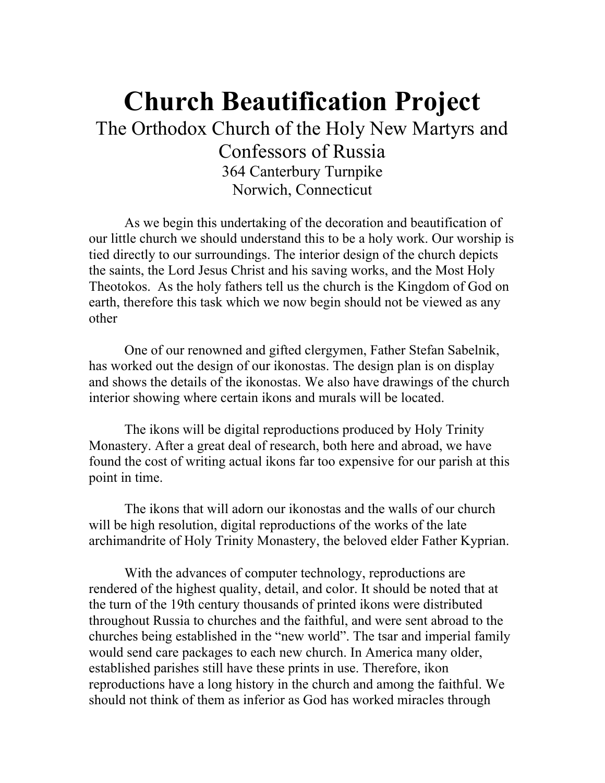# **Church Beautification Project**  The Orthodox Church of the Holy New Martyrs and Confessors of Russia 364 Canterbury Turnpike Norwich, Connecticut

 As we begin this undertaking of the decoration and beautification of our little church we should understand this to be a holy work. Our worship is tied directly to our surroundings. The interior design of the church depicts the saints, the Lord Jesus Christ and his saving works, and the Most Holy Theotokos. As the holy fathers tell us the church is the Kingdom of God on earth, therefore this task which we now begin should not be viewed as any other

 One of our renowned and gifted clergymen, Father Stefan Sabelnik, has worked out the design of our ikonostas. The design plan is on display and shows the details of the ikonostas. We also have drawings of the church interior showing where certain ikons and murals will be located.

 The ikons will be digital reproductions produced by Holy Trinity Monastery. After a great deal of research, both here and abroad, we have found the cost of writing actual ikons far too expensive for our parish at this point in time.

 The ikons that will adorn our ikonostas and the walls of our church will be high resolution, digital reproductions of the works of the late archimandrite of Holy Trinity Monastery, the beloved elder Father Kyprian.

 With the advances of computer technology, reproductions are rendered of the highest quality, detail, and color. It should be noted that at the turn of the 19th century thousands of printed ikons were distributed throughout Russia to churches and the faithful, and were sent abroad to the churches being established in the "new world". The tsar and imperial family would send care packages to each new church. In America many older, established parishes still have these prints in use. Therefore, ikon reproductions have a long history in the church and among the faithful. We should not think of them as inferior as God has worked miracles through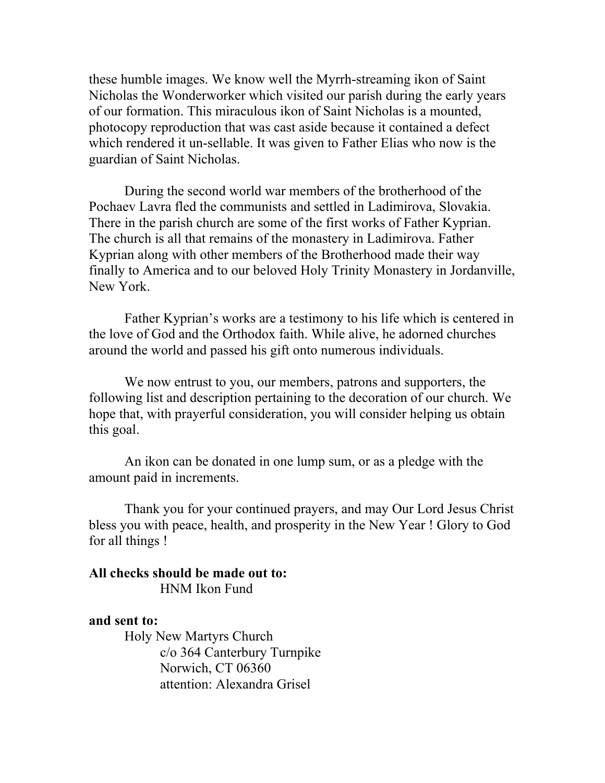these humble images. We know well the Myrrh-streaming ikon of Saint Nicholas the Wonderworker which visited our parish during the early years of our formation. This miraculous ikon of Saint Nicholas is a mounted, photocopy reproduction that was cast aside because it contained a defect which rendered it un-sellable. It was given to Father Elias who now is the guardian of Saint Nicholas.

 During the second world war members of the brotherhood of the Pochaev Lavra fled the communists and settled in Ladimirova, Slovakia. There in the parish church are some of the first works of Father Kyprian. The church is all that remains of the monastery in Ladimirova. Father Kyprian along with other members of the Brotherhood made their way finally to America and to our beloved Holy Trinity Monastery in Jordanville, New York.

 Father Kyprian's works are a testimony to his life which is centered in the love of God and the Orthodox faith. While alive, he adorned churches around the world and passed his gift onto numerous individuals.

 We now entrust to you, our members, patrons and supporters, the following list and description pertaining to the decoration of our church. We hope that, with prayerful consideration, you will consider helping us obtain this goal.

 An ikon can be donated in one lump sum, or as a pledge with the amount paid in increments.

 Thank you for your continued prayers, and may Our Lord Jesus Christ bless you with peace, health, and prosperity in the New Year ! Glory to God for all things !

### **All checks should be made out to:**  HNM Ikon Fund

### **and sent to:**

 Holy New Martyrs Church c/o 364 Canterbury Turnpike Norwich, CT 06360 attention: Alexandra Grisel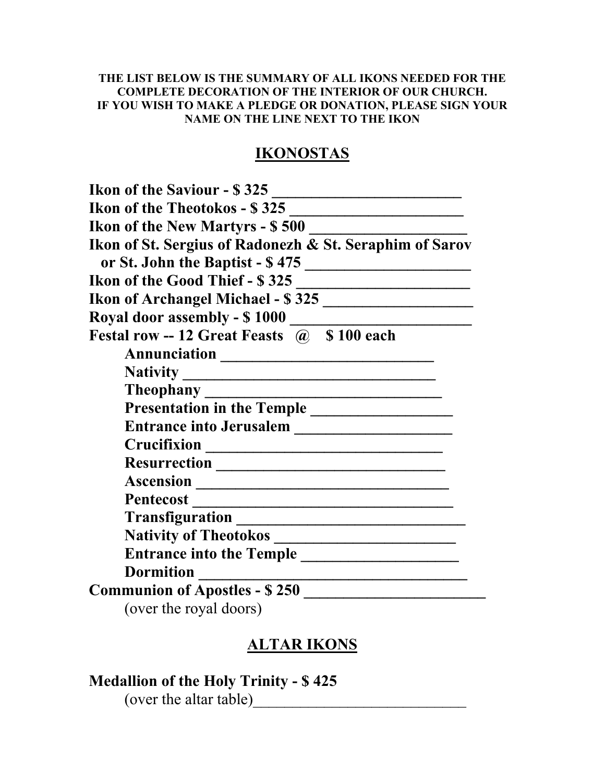### **THE LIST BELOW IS THE SUMMARY OF ALL IKONS NEEDED FOR THE COMPLETE DECORATION OF THE INTERIOR OF OUR CHURCH. IF YOU WISH TO MAKE A PLEDGE OR DONATION, PLEASE SIGN YOUR NAME ON THE LINE NEXT TO THE IKON**

### **IKONOSTAS**

| <b>Ikon of the Saviour - \$325</b>                      |
|---------------------------------------------------------|
| <b>Ikon of the Theotokos - \$325</b>                    |
| <b>Ikon of the New Martyrs - \$500</b>                  |
| Ikon of St. Sergius of Radonezh & St. Seraphim of Sarov |
| or St. John the Baptist - \$475                         |
| <b>Ikon of the Good Thief - \$325</b>                   |
| Ikon of Archangel Michael - \$325                       |
| <b>Royal door assembly - \$1000</b>                     |
| Festal row -- 12 Great Feasts @ \$100 each              |
|                                                         |
|                                                         |
| <b>Theophany</b>                                        |
|                                                         |
|                                                         |
|                                                         |
|                                                         |
|                                                         |
|                                                         |
|                                                         |
|                                                         |
| <b>Entrance into the Temple</b>                         |
| <b>Dormition</b>                                        |
| <b>Communion of Apostles - \$250</b>                    |
| (over the royal doors)                                  |

# **ALTAR IKONS**

## **Medallion of the Holy Trinity - \$ 425**

(over the altar table)\_\_\_\_\_\_\_\_\_\_\_\_\_\_\_\_\_\_\_\_\_\_\_\_\_\_\_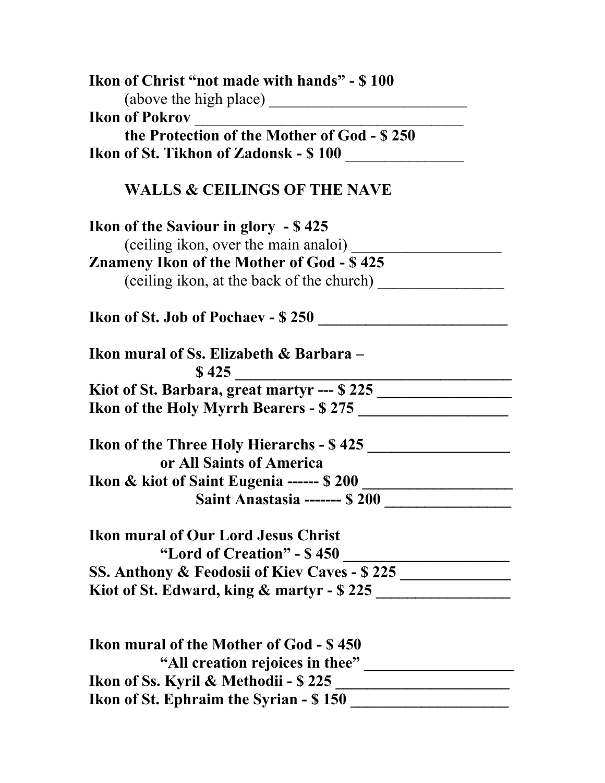| Ikon of Christ "not made with hands" - \$100                    |  |
|-----------------------------------------------------------------|--|
| Ikon of Pokrov                                                  |  |
| the Protection of the Mother of God - \$250                     |  |
| Ikon of St. Tikhon of Zadonsk - \$ 100                          |  |
| <b>WALLS &amp; CEILINGS OF THE NAVE</b>                         |  |
| <b>Ikon of the Saviour in glory - \$425</b>                     |  |
|                                                                 |  |
| <b>Znameny Ikon of the Mother of God - \$425</b>                |  |
| (ceiling ikon, at the back of the church)                       |  |
|                                                                 |  |
| Ikon mural of Ss. Elizabeth & Barbara –<br>\$425                |  |
| Kiot of St. Barbara, great martyr --- \$ 225 __________________ |  |
| Ikon of the Holy Myrrh Bearers - \$275                          |  |
| Ikon of the Three Holy Hierarchs - \$ 425                       |  |
| or All Saints of America                                        |  |
| Ikon & kiot of Saint Eugenia ------ \$ 200 ___________          |  |
| Saint Anastasia ------- \$ 200                                  |  |
| <b>Ikon mural of Our Lord Jesus Christ</b>                      |  |
| "Lord of Creation" - \$450                                      |  |
|                                                                 |  |
| Kiot of St. Edward, king & martyr - \$225                       |  |
|                                                                 |  |
| Ikon mural of the Mother of God - \$450                         |  |
| "All creation rejoices in thee"                                 |  |
| Ikon of Ss. Kyril & Methodii - \$225                            |  |

**Ikon of St. Ephraim the Syrian - \$ 150**